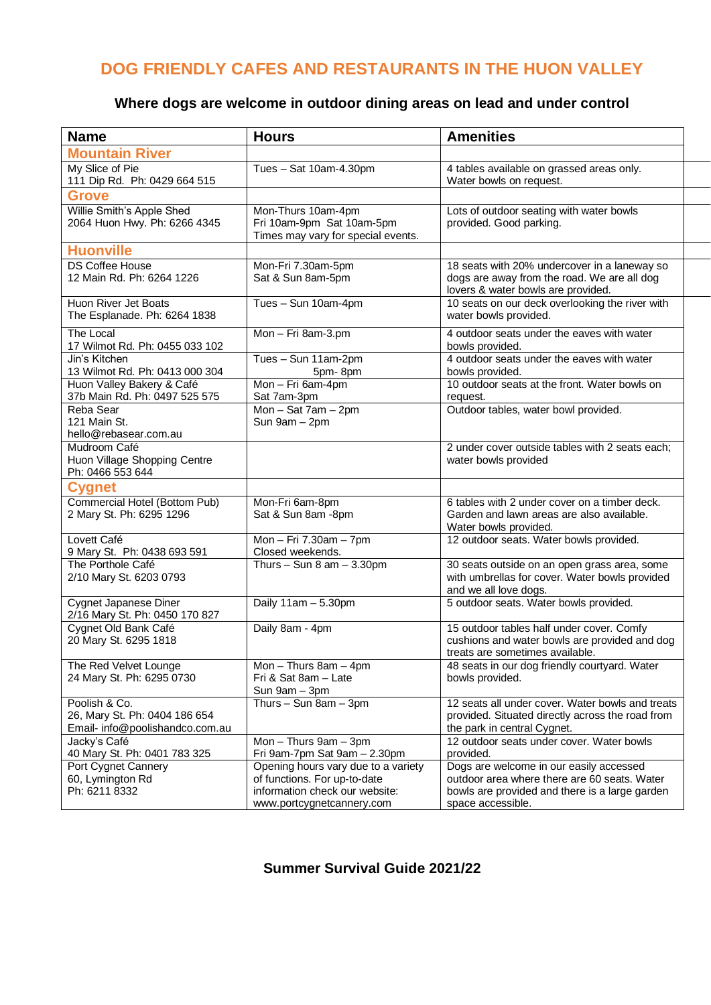## **DOG FRIENDLY CAFES AND RESTAURANTS IN THE HUON VALLEY**

## **Where dogs are welcome in outdoor dining areas on lead and under control**

| <b>Name</b>                                                                       | <b>Hours</b>                                                                                                                       | <b>Amenities</b>                                                                                                                                               |
|-----------------------------------------------------------------------------------|------------------------------------------------------------------------------------------------------------------------------------|----------------------------------------------------------------------------------------------------------------------------------------------------------------|
| <b>Mountain River</b>                                                             |                                                                                                                                    |                                                                                                                                                                |
| My Slice of Pie<br>111 Dip Rd. Ph: 0429 664 515                                   | Tues - Sat 10am-4.30pm                                                                                                             | 4 tables available on grassed areas only.<br>Water bowls on request.                                                                                           |
| <b>Grove</b>                                                                      |                                                                                                                                    |                                                                                                                                                                |
| Willie Smith's Apple Shed<br>2064 Huon Hwy. Ph: 6266 4345                         | Mon-Thurs 10am-4pm<br>Fri 10am-9pm Sat 10am-5pm<br>Times may vary for special events.                                              | Lots of outdoor seating with water bowls<br>provided. Good parking.                                                                                            |
| <b>Huonville</b>                                                                  |                                                                                                                                    |                                                                                                                                                                |
| <b>DS Coffee House</b><br>12 Main Rd. Ph: 6264 1226                               | Mon-Fri 7.30am-5pm<br>Sat & Sun 8am-5pm                                                                                            | 18 seats with 20% undercover in a laneway so<br>dogs are away from the road. We are all dog<br>lovers & water bowls are provided.                              |
| Huon River Jet Boats<br>The Esplanade. Ph: 6264 1838                              | Tues - Sun 10am-4pm                                                                                                                | 10 seats on our deck overlooking the river with<br>water bowls provided.                                                                                       |
| The Local<br>17 Wilmot Rd. Ph: 0455 033 102                                       | Mon - Fri 8am-3.pm                                                                                                                 | 4 outdoor seats under the eaves with water<br>bowls provided.                                                                                                  |
| Jin's Kitchen<br>13 Wilmot Rd. Ph: 0413 000 304                                   | Tues - Sun 11am-2pm<br>5pm-8pm                                                                                                     | 4 outdoor seats under the eaves with water<br>bowls provided.                                                                                                  |
| Huon Valley Bakery & Café<br>37b Main Rd. Ph: 0497 525 575                        | Mon - Fri 6am-4pm<br>Sat 7am-3pm                                                                                                   | 10 outdoor seats at the front. Water bowls on<br>request.                                                                                                      |
| Reba Sear<br>121 Main St.<br>hello@rebasear.com.au                                | Mon $-$ Sat $7am - 2pm$<br>Sun 9am - 2pm                                                                                           | Outdoor tables, water bowl provided.                                                                                                                           |
| Mudroom Café<br>Huon Village Shopping Centre<br>Ph: 0466 553 644                  |                                                                                                                                    | 2 under cover outside tables with 2 seats each;<br>water bowls provided                                                                                        |
| <b>Cygnet</b>                                                                     |                                                                                                                                    |                                                                                                                                                                |
| Commercial Hotel (Bottom Pub)<br>2 Mary St. Ph: 6295 1296                         | Mon-Fri 6am-8pm<br>Sat & Sun 8am -8pm                                                                                              | 6 tables with 2 under cover on a timber deck.<br>Garden and lawn areas are also available.<br>Water bowls provided.                                            |
| Lovett Café<br>9 Mary St. Ph: 0438 693 591                                        | Mon - Fri 7.30am - 7pm<br>Closed weekends.                                                                                         | 12 outdoor seats. Water bowls provided.                                                                                                                        |
| The Porthole Café<br>2/10 Mary St. 6203 0793                                      | Thurs $-\overline{\text{Sun 8 am} - 3.30 \text{pm}}$                                                                               | 30 seats outside on an open grass area, some<br>with umbrellas for cover. Water bowls provided<br>and we all love dogs.                                        |
| Cygnet Japanese Diner<br>2/16 Mary St. Ph: 0450 170 827                           | Daily $11am - 5.30pm$                                                                                                              | 5 outdoor seats. Water bowls provided.                                                                                                                         |
| Cygnet Old Bank Café<br>20 Mary St. 6295 1818                                     | Daily 8am - 4pm                                                                                                                    | 15 outdoor tables half under cover. Comfy<br>cushions and water bowls are provided and dog<br>treats are sometimes available.                                  |
| The Red Velvet Lounge<br>24 Mary St. Ph: 6295 0730                                | Mon $-$ Thurs 8am $-$ 4pm<br>Fri & Sat 8am - Late<br>Sun 9am - 3pm                                                                 | 48 seats in our dog friendly courtyard. Water<br>bowls provided.                                                                                               |
| Poolish & Co.<br>26, Mary St. Ph: 0404 186 654<br>Email- info@poolishandco.com.au | Thurs $-$ Sun 8am $-$ 3pm                                                                                                          | 12 seats all under cover. Water bowls and treats<br>provided. Situated directly across the road from<br>the park in central Cygnet.                            |
| Jacky's Café<br>40 Mary St. Ph: 0401 783 325                                      | Mon $-$ Thurs 9am $-$ 3pm<br>Fri 9am-7pm Sat 9am - 2.30pm                                                                          | 12 outdoor seats under cover. Water bowls<br>provided.                                                                                                         |
| Port Cygnet Cannery<br>60, Lymington Rd<br>Ph: 6211 8332                          | Opening hours vary due to a variety<br>of functions. For up-to-date<br>information check our website:<br>www.portcygnetcannery.com | Dogs are welcome in our easily accessed<br>outdoor area where there are 60 seats. Water<br>bowls are provided and there is a large garden<br>space accessible. |

**Summer Survival Guide 2021/22**